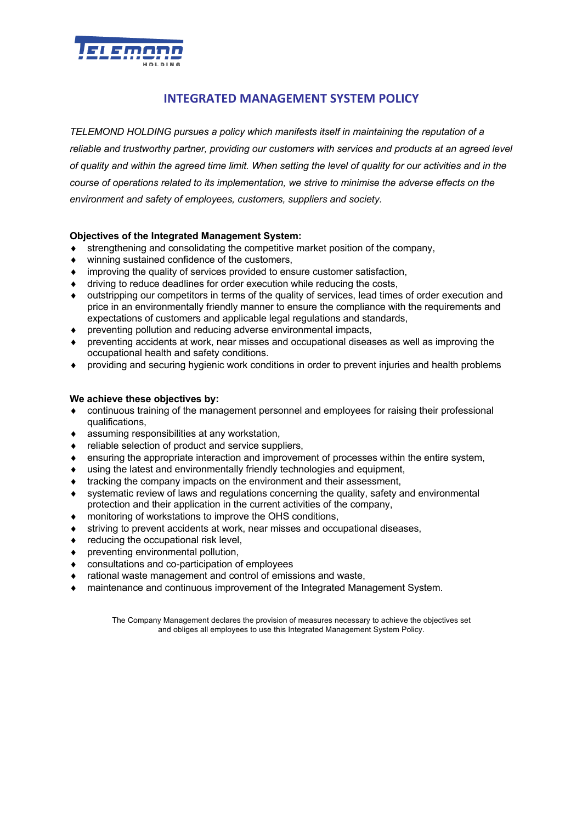

## **INTEGRATED MANAGEMENT SYSTEM POLICY**

*TELEMOND HOLDING pursues a policy which manifests itself in maintaining the reputation of a reliable and trustworthy partner, providing our customers with services and products at an agreed level of quality and within the agreed time limit. When setting the level of quality for our activities and in the course of operations related to its implementation, we strive to minimise the adverse effects on the environment and safety of employees, customers, suppliers and society.*

## **Objectives of the Integrated Management System:**

- strengthening and consolidating the competitive market position of the company,
- winning sustained confidence of the customers,
- $\bullet$  improving the quality of services provided to ensure customer satisfaction,
- $\bullet$  driving to reduce deadlines for order execution while reducing the costs,
- outstripping our competitors in terms of the quality of services, lead times of order execution and price in an environmentally friendly manner to ensure the compliance with the requirements and expectations of customers and applicable legal regulations and standards,
- $\bullet$  preventing pollution and reducing adverse environmental impacts,
- preventing accidents at work, near misses and occupational diseases as well as improving the occupational health and safety conditions.
- ◆ providing and securing hygienic work conditions in order to prevent injuries and health problems

### **We achieve these objectives by:**

- continuous training of the management personnel and employees for raising their professional qualifications,
- $\bullet$  assuming responsibilities at any workstation,
- reliable selection of product and service suppliers,
- ensuring the appropriate interaction and improvement of processes within the entire system,
- using the latest and environmentally friendly technologies and equipment,
- tracking the company impacts on the environment and their assessment,
- systematic review of laws and regulations concerning the quality, safety and environmental protection and their application in the current activities of the company,
- monitoring of workstations to improve the OHS conditions,
- striving to prevent accidents at work, near misses and occupational diseases,
- reducing the occupational risk level,
- preventing environmental pollution,
- $\bullet$  consultations and co-participation of employees
- rational waste management and control of emissions and waste.
- maintenance and continuous improvement of the Integrated Management System.

The Company Management declares the provision of measures necessary to achieve the objectives set and obliges all employees to use this Integrated Management System Policy.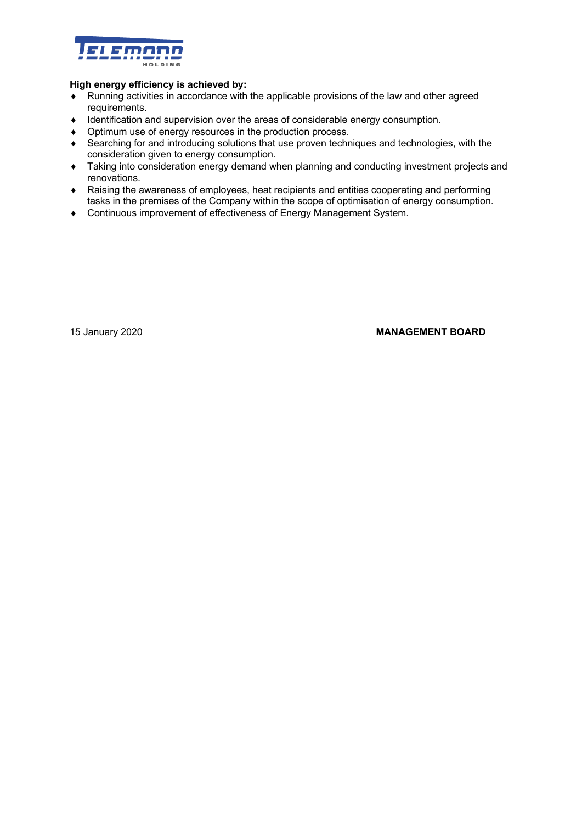

### **High energy efficiency is achieved by:**

- Exunning activities in accordance with the applicable provisions of the law and other agreed requirements.
- Identification and supervision over the areas of considerable energy consumption.
- Optimum use of energy resources in the production process.
- ◆ Searching for and introducing solutions that use proven techniques and technologies, with the consideration given to energy consumption.
- ◆ Taking into consideration energy demand when planning and conducting investment projects and renovations.
- Raising the awareness of employees, heat recipients and entities cooperating and performing tasks in the premises of the Company within the scope of optimisation of energy consumption.
- ◆ Continuous improvement of effectiveness of Energy Management System.

### 15 January 2020 **MANAGEMENT BOARD**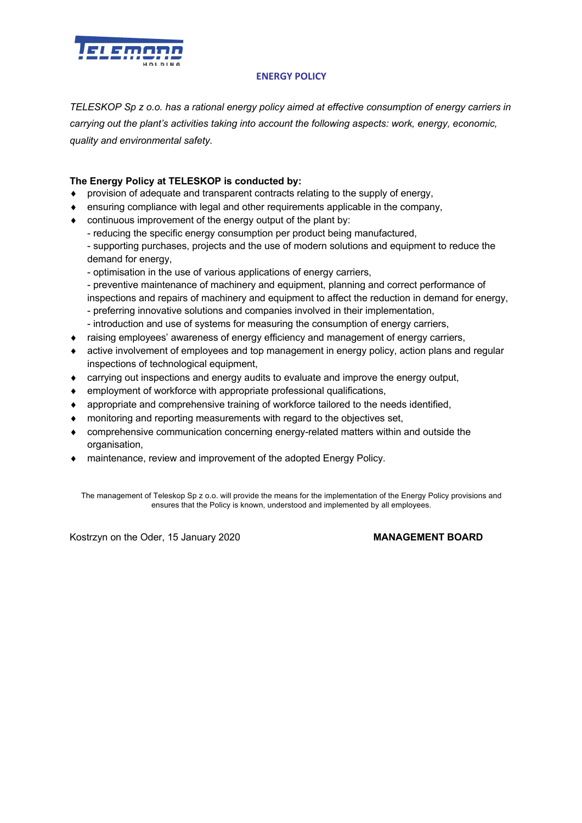

## **ENERGY POLICY**

*TELESKOP Sp z o.o. has a rational energy policy aimed at effective consumption of energy carriers in carrying out the plant's activities taking into account the following aspects: work, energy, economic, quality and environmental safety.*

## **The Energy Policy at TELESKOP is conducted by:**

- $\bullet$  provision of adequate and transparent contracts relating to the supply of energy,
- ensuring compliance with legal and other requirements applicable in the company,
- $\bullet$  continuous improvement of the energy output of the plant by:
	- reducing the specific energy consumption per product being manufactured,
	- supporting purchases, projects and the use of modern solutions and equipment to reduce the demand for energy,
	- optimisation in the use of various applications of energy carriers,
	- preventive maintenance of machinery and equipment, planning and correct performance of inspections and repairs of machinery and equipment to affect the reduction in demand for energy,
	- preferring innovative solutions and companies involved in their implementation,
- introduction and use of systems for measuring the consumption of energy carriers,
- raising employees' awareness of energy efficiency and management of energy carriers,
- $\bullet$  active involvement of employees and top management in energy policy, action plans and regular inspections of technological equipment,
- carrying out inspections and energy audits to evaluate and improve the energy output,
- $\bullet$  employment of workforce with appropriate professional qualifications,
- $\bullet$  appropriate and comprehensive training of workforce tailored to the needs identified,
- $\bullet$  monitoring and reporting measurements with regard to the objectives set,
- comprehensive communication concerning energy-related matters within and outside the organisation,
- $\bullet$  maintenance, review and improvement of the adopted Energy Policy.

The management of Teleskop Sp z o.o. will provide the means for the implementation of the Energy Policy provisions and ensures that the Policy is known, understood and implemented by all employees.

Kostrzyn on the Oder, 15 January 2020 **MANAGEMENT BOARD**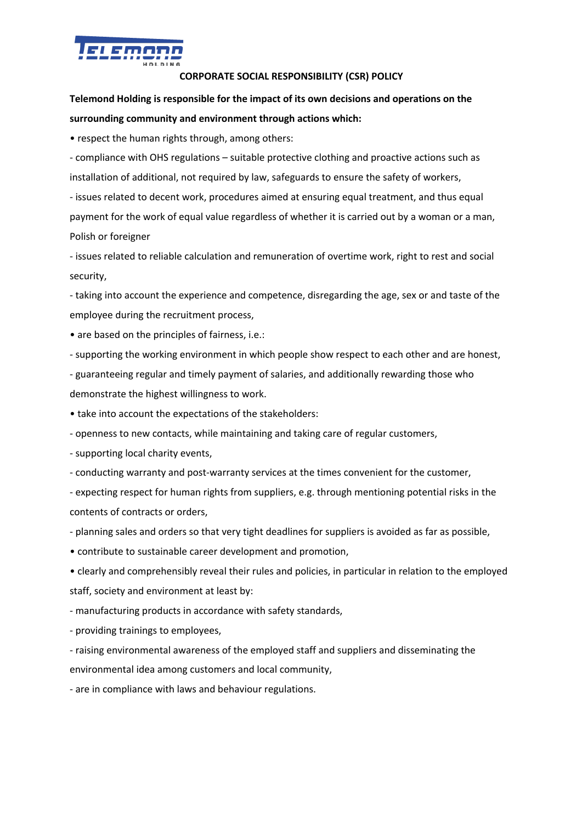

## **CORPORATE SOCIAL RESPONSIBILITY (CSR) POLICY**

# **Telemond Holding is responsible for the impact of its own decisions and operations on the surrounding community and environment through actions which:**

• respect the human rights through, among others:

- compliance with OHS regulations – suitable protective clothing and proactive actions such as installation of additional, not required by law, safeguards to ensure the safety of workers, - issues related to decent work, procedures aimed at ensuring equal treatment, and thus equal

payment for the work of equal value regardless of whether it is carried out by a woman or a man, Polish or foreigner

- issues related to reliable calculation and remuneration of overtime work, right to rest and social security,

- taking into account the experience and competence, disregarding the age, sex or and taste of the employee during the recruitment process,

• are based on the principles of fairness, i.e.:

- supporting the working environment in which people show respect to each other and are honest,

- guaranteeing regular and timely payment of salaries, and additionally rewarding those who demonstrate the highest willingness to work.

• take into account the expectations of the stakeholders:

- openness to new contacts, while maintaining and taking care of regular customers,

- supporting local charity events,

- conducting warranty and post-warranty services at the times convenient for the customer,

- expecting respect for human rights from suppliers, e.g. through mentioning potential risks in the contents of contracts or orders,

- planning sales and orders so that very tight deadlines for suppliers is avoided as far as possible,

• contribute to sustainable career development and promotion,

• clearly and comprehensibly reveal their rules and policies, in particular in relation to the employed staff, society and environment at least by:

- manufacturing products in accordance with safety standards,

- providing trainings to employees,

- raising environmental awareness of the employed staff and suppliers and disseminating the environmental idea among customers and local community,

- are in compliance with laws and behaviour regulations.